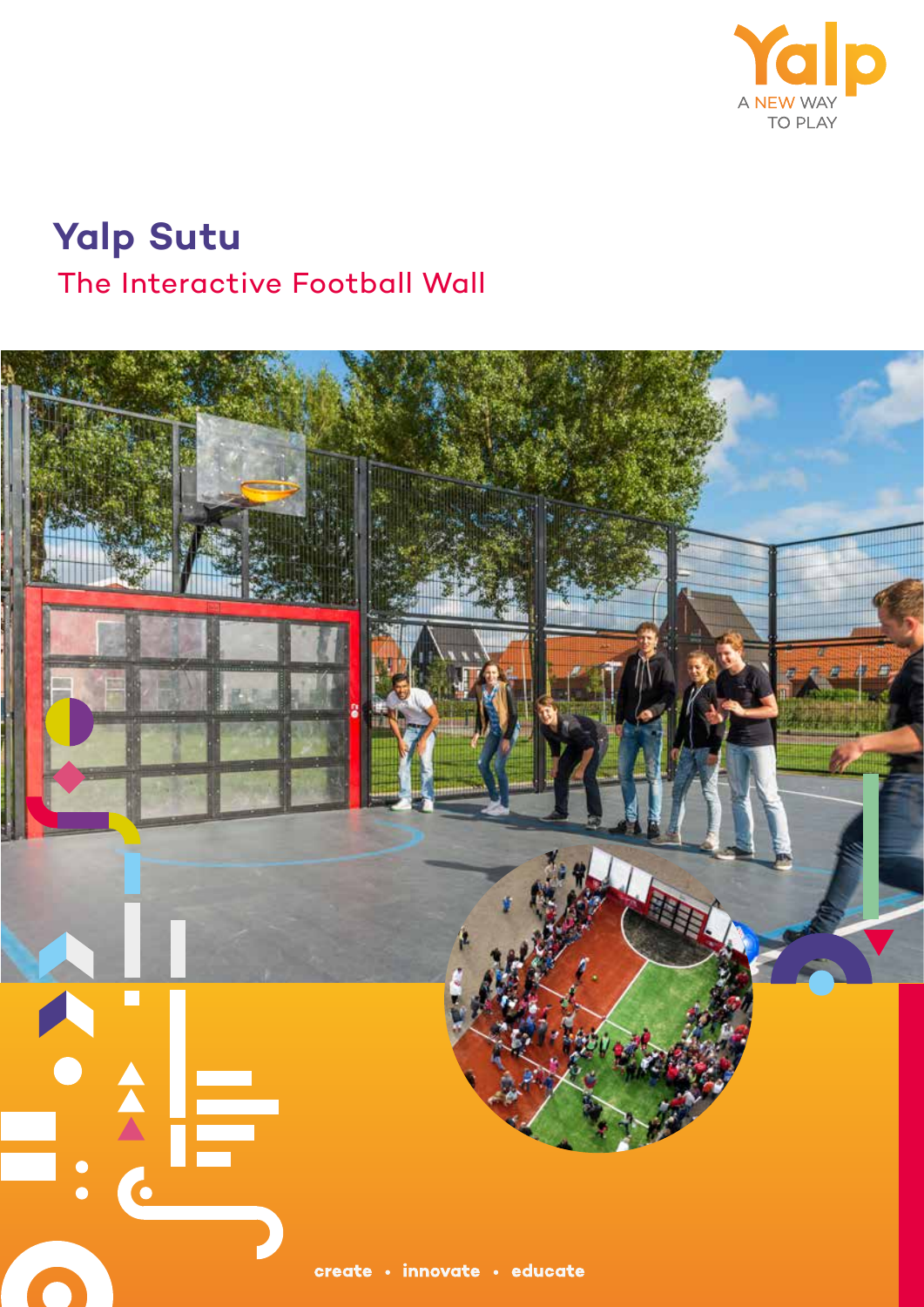

## **Yalp Sutu** The Interactive Football Wall

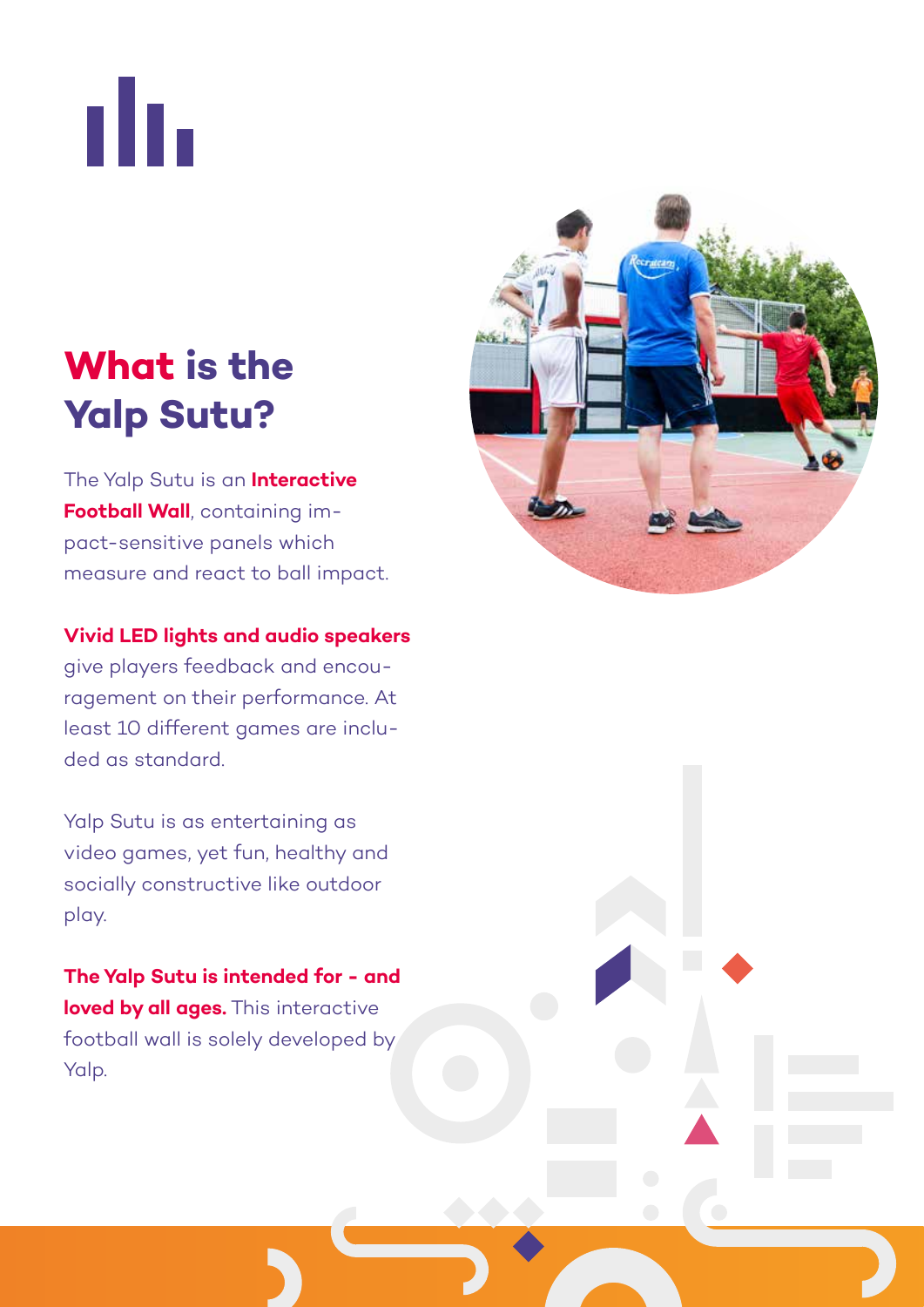пh.

# **What is the Yalp Sutu?**

The Yalp Sutu is an **Interactive Football Wall**, containing impact-sensitive panels which measure and react to ball impact.

**Vivid LED lights and audio speakers**  give players feedback and encouragement on their performance. At least 10 different games are included as standard.

Yalp Sutu is as entertaining as video games, yet fun, healthy and socially constructive like outdoor play.

**The Yalp Sutu is intended for - and loved by all ages.** This interactive football wall is solely developed by Yalp.

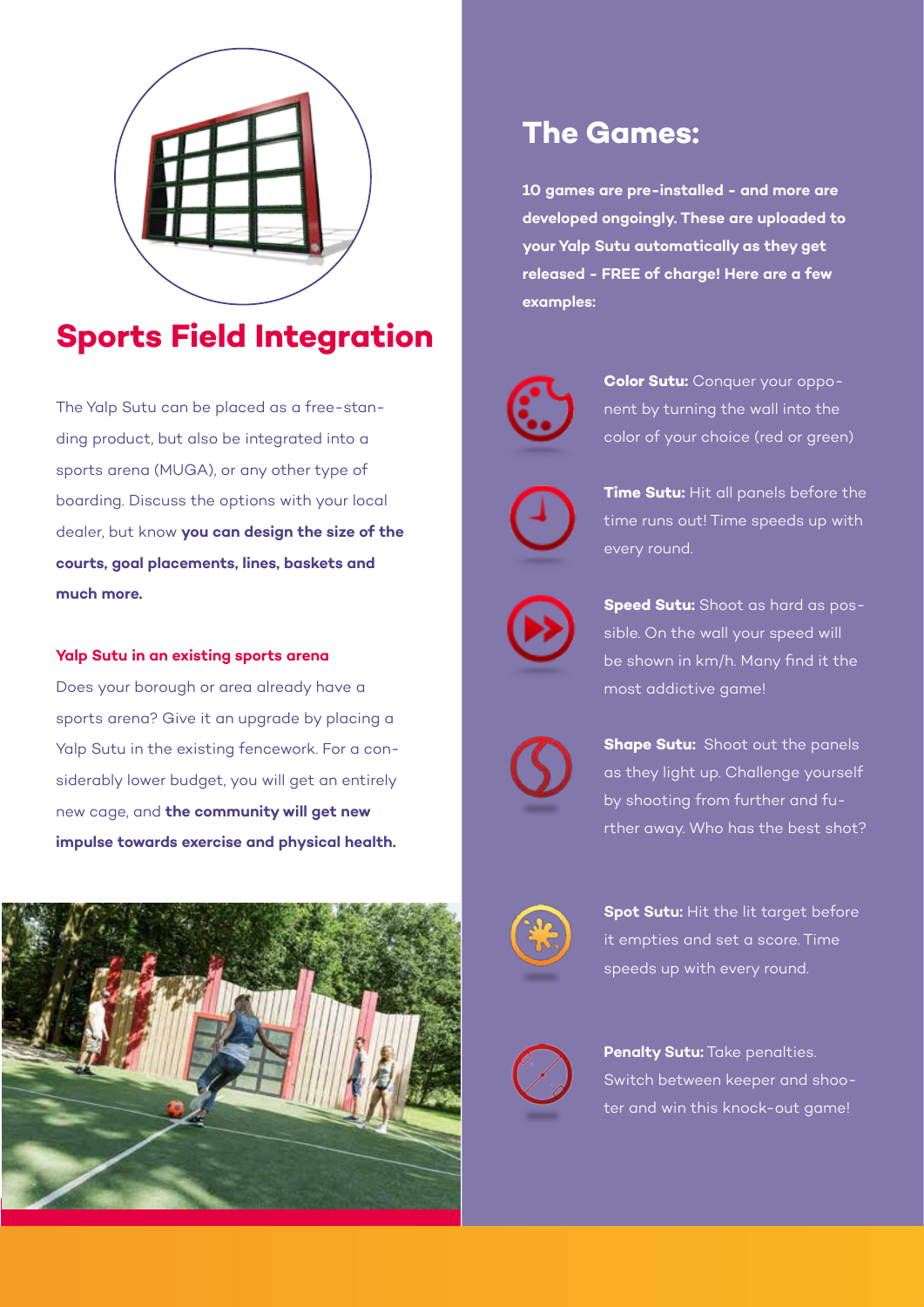

### **Sports Field Integration**

The Yalp Sutu can be placed as a free-standing product, but also be integrated into a sports arena (MUGA), or any other type of boarding. Discuss the options with your local dealer, but know **you can design the size of the courts, goal placements, lines, baskets and much more.** 

#### **Yalp Sutu in an existing sports arena**

Does your borough or area already have a sports arena? Give it an upgrade by placing a Yalp Sutu in the existing fencework. For a considerably lower budget, you will get an entirely new cage, and **the community will get new impulse towards exercise and physical health.** 



#### **The Games:**

**10 games are pre-installed - and more are developed ongoingly. These are uploaded to your Yalp Sutu automatically as they get released - FREE of charge! Here are a few examples:**



**Color Sutu:** Conquer your opponent by turning the wall into the color of your choice (red or green)



**Time Sutu:** Hit all panels before the time runs out! Time speeds up with every round.



**Speed Sutu:** Shoot as hard as possible. On the wall your speed will be shown in km/h. Many find it the most addictive game!



**Shape Sutu:** Shoot out the panels as they light up. Challenge yourself by shooting from further and further away. Who has the best shot?



**Spot Sutu:** Hit the lit target before it empties and set a score. Time speeds up with every round.



**Penalty Sutu:** Take penalties. Switch between keeper and shooter and win this knock-out game!